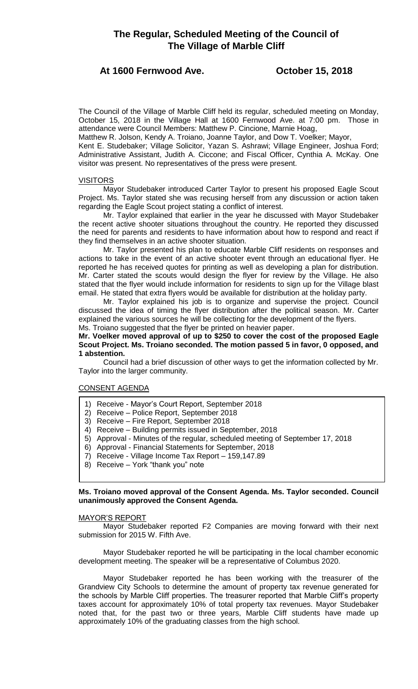# **At 1600 Fernwood Ave. October 15, 2018**

The Council of the Village of Marble Cliff held its regular, scheduled meeting on Monday, October 15, 2018 in the Village Hall at 1600 Fernwood Ave. at 7:00 pm. Those in attendance were Council Members: Matthew P. Cincione, Marnie Hoag,

Matthew R. Jolson, Kendy A. Troiano, Joanne Taylor, and Dow T. Voelker; Mayor,

Kent E. Studebaker; Village Solicitor, Yazan S. Ashrawi; Village Engineer, Joshua Ford; Administrative Assistant, Judith A. Ciccone; and Fiscal Officer, Cynthia A. McKay. One visitor was present. No representatives of the press were present.

# VISITORS

Mayor Studebaker introduced Carter Taylor to present his proposed Eagle Scout Project. Ms. Taylor stated she was recusing herself from any discussion or action taken regarding the Eagle Scout project stating a conflict of interest.

Mr. Taylor explained that earlier in the year he discussed with Mayor Studebaker the recent active shooter situations throughout the country. He reported they discussed the need for parents and residents to have information about how to respond and react if they find themselves in an active shooter situation.

Mr. Taylor presented his plan to educate Marble Cliff residents on responses and actions to take in the event of an active shooter event through an educational flyer. He reported he has received quotes for printing as well as developing a plan for distribution. Mr. Carter stated the scouts would design the flyer for review by the Village. He also stated that the flyer would include information for residents to sign up for the Village blast email. He stated that extra flyers would be available for distribution at the holiday party.

Mr. Taylor explained his job is to organize and supervise the project. Council discussed the idea of timing the flyer distribution after the political season. Mr. Carter explained the various sources he will be collecting for the development of the flyers. Ms. Troiano suggested that the flyer be printed on heavier paper.

# **Mr. Voelker moved approval of up to \$250 to cover the cost of the proposed Eagle Scout Project. Ms. Troiano seconded. The motion passed 5 in favor, 0 opposed, and 1 abstention.**

Council had a brief discussion of other ways to get the information collected by Mr. Taylor into the larger community.

# CONSENT AGENDA

- 1) Receive Mayor's Court Report, September 2018
- 2) Receive Police Report, September 2018
- 3) Receive Fire Report, September 2018
- 4) Receive Building permits issued in September, 2018
- 5) Approval Minutes of the regular, scheduled meeting of September 17, 2018
- 6) Approval Financial Statements for September, 2018
- 7) Receive Village Income Tax Report 159,147.89
- 8) Receive York "thank you" note

# **Ms. Troiano moved approval of the Consent Agenda. Ms. Taylor seconded. Council unanimously approved the Consent Agenda.**

# MAYOR'S REPORT

Mayor Studebaker reported F2 Companies are moving forward with their next submission for 2015 W. Fifth Ave.

Mayor Studebaker reported he will be participating in the local chamber economic development meeting. The speaker will be a representative of Columbus 2020.

Mayor Studebaker reported he has been working with the treasurer of the Grandview City Schools to determine the amount of property tax revenue generated for the schools by Marble Cliff properties. The treasurer reported that Marble Cliff's property taxes account for approximately 10% of total property tax revenues. Mayor Studebaker noted that, for the past two or three years, Marble Cliff students have made up approximately 10% of the graduating classes from the high school.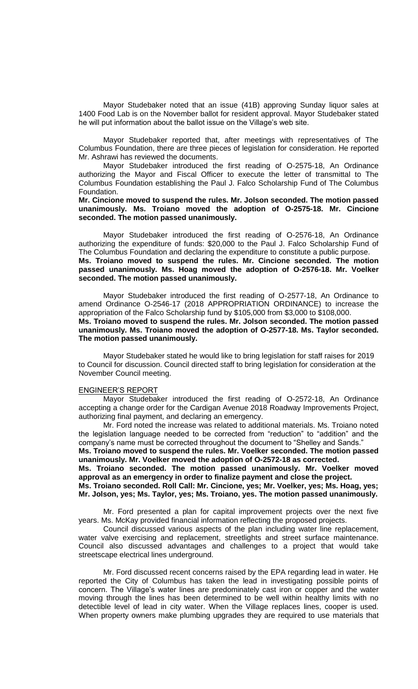Mayor Studebaker noted that an issue (41B) approving Sunday liquor sales at 1400 Food Lab is on the November ballot for resident approval. Mayor Studebaker stated he will put information about the ballot issue on the Village's web site.

Mayor Studebaker reported that, after meetings with representatives of The Columbus Foundation, there are three pieces of legislation for consideration. He reported Mr. Ashrawi has reviewed the documents.

Mayor Studebaker introduced the first reading of O-2575-18, An Ordinance authorizing the Mayor and Fiscal Officer to execute the letter of transmittal to The Columbus Foundation establishing the Paul J. Falco Scholarship Fund of The Columbus Foundation.

**Mr. Cincione moved to suspend the rules. Mr. Jolson seconded. The motion passed unanimously. Ms. Troiano moved the adoption of O-2575-18. Mr. Cincione seconded. The motion passed unanimously.** 

Mayor Studebaker introduced the first reading of O-2576-18, An Ordinance authorizing the expenditure of funds: \$20,000 to the Paul J. Falco Scholarship Fund of The Columbus Foundation and declaring the expenditure to constitute a public purpose. **Ms. Troiano moved to suspend the rules. Mr. Cincione seconded. The motion passed unanimously. Ms. Hoag moved the adoption of O-2576-18. Mr. Voelker seconded. The motion passed unanimously.** 

Mayor Studebaker introduced the first reading of O-2577-18, An Ordinance to amend Ordinance O-2546-17 (2018 APPROPRIATION ORDINANCE) to increase the appropriation of the Falco Scholarship fund by \$105,000 from \$3,000 to \$108,000. **Ms. Troiano moved to suspend the rules. Mr. Jolson seconded. The motion passed unanimously. Ms. Troiano moved the adoption of O-2577-18. Ms. Taylor seconded. The motion passed unanimously.** 

Mayor Studebaker stated he would like to bring legislation for staff raises for 2019 to Council for discussion. Council directed staff to bring legislation for consideration at the November Council meeting.

#### ENGINEER'S REPORT

Mayor Studebaker introduced the first reading of O-2572-18, An Ordinance accepting a change order for the Cardigan Avenue 2018 Roadway Improvements Project, authorizing final payment, and declaring an emergency.

Mr. Ford noted the increase was related to additional materials. Ms. Troiano noted the legislation language needed to be corrected from "reduction" to "addition" and the company's name must be corrected throughout the document to "Shelley and Sands."

**Ms. Troiano moved to suspend the rules. Mr. Voelker seconded. The motion passed unanimously. Mr. Voelker moved the adoption of O-2572-18 as corrected.** 

**Ms. Troiano seconded. The motion passed unanimously. Mr. Voelker moved approval as an emergency in order to finalize payment and close the project.** 

**Ms. Troiano seconded. Roll Call: Mr. Cincione, yes; Mr. Voelker, yes; Ms. Hoag, yes; Mr. Jolson, yes; Ms. Taylor, yes; Ms. Troiano, yes. The motion passed unanimously.**

Mr. Ford presented a plan for capital improvement projects over the next five years. Ms. McKay provided financial information reflecting the proposed projects.

Council discussed various aspects of the plan including water line replacement, water valve exercising and replacement, streetlights and street surface maintenance. Council also discussed advantages and challenges to a project that would take streetscape electrical lines underground.

Mr. Ford discussed recent concerns raised by the EPA regarding lead in water. He reported the City of Columbus has taken the lead in investigating possible points of concern. The Village's water lines are predominately cast iron or copper and the water moving through the lines has been determined to be well within healthy limits with no detectible level of lead in city water. When the Village replaces lines, cooper is used. When property owners make plumbing upgrades they are required to use materials that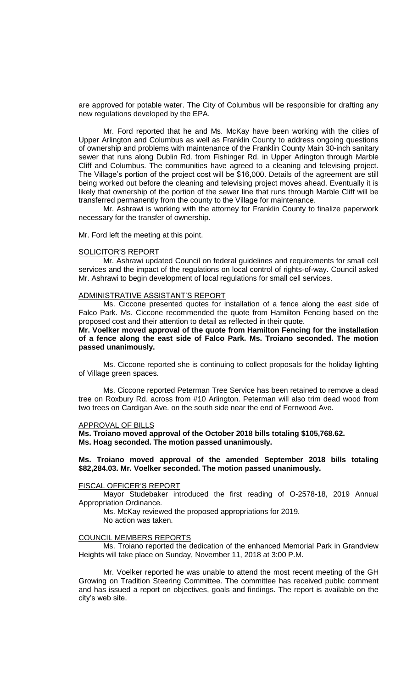are approved for potable water. The City of Columbus will be responsible for drafting any new regulations developed by the EPA.

Mr. Ford reported that he and Ms. McKay have been working with the cities of Upper Arlington and Columbus as well as Franklin County to address ongoing questions of ownership and problems with maintenance of the Franklin County Main 30-inch sanitary sewer that runs along Dublin Rd. from Fishinger Rd. in Upper Arlington through Marble Cliff and Columbus. The communities have agreed to a cleaning and televising project. The Village's portion of the project cost will be \$16,000. Details of the agreement are still being worked out before the cleaning and televising project moves ahead. Eventually it is likely that ownership of the portion of the sewer line that runs through Marble Cliff will be transferred permanently from the county to the Village for maintenance.

Mr. Ashrawi is working with the attorney for Franklin County to finalize paperwork necessary for the transfer of ownership.

Mr. Ford left the meeting at this point.

#### SOLICITOR'S REPORT

Mr. Ashrawi updated Council on federal guidelines and requirements for small cell services and the impact of the regulations on local control of rights-of-way. Council asked Mr. Ashrawi to begin development of local regulations for small cell services.

#### ADMINISTRATIVE ASSISTANT'S REPORT

Ms. Ciccone presented quotes for installation of a fence along the east side of Falco Park. Ms. Ciccone recommended the quote from Hamilton Fencing based on the proposed cost and their attention to detail as reflected in their quote.

### **Mr. Voelker moved approval of the quote from Hamilton Fencing for the installation of a fence along the east side of Falco Park. Ms. Troiano seconded. The motion passed unanimously.**

Ms. Ciccone reported she is continuing to collect proposals for the holiday lighting of Village green spaces.

Ms. Ciccone reported Peterman Tree Service has been retained to remove a dead tree on Roxbury Rd. across from #10 Arlington. Peterman will also trim dead wood from two trees on Cardigan Ave. on the south side near the end of Fernwood Ave.

#### APPROVAL OF BILLS

**Ms. Troiano moved approval of the October 2018 bills totaling \$105,768.62. Ms. Hoag seconded. The motion passed unanimously.**

### **Ms. Troiano moved approval of the amended September 2018 bills totaling \$82,284.03. Mr. Voelker seconded. The motion passed unanimously.**

#### FISCAL OFFICER'S REPORT

Mayor Studebaker introduced the first reading of O-2578-18, 2019 Annual Appropriation Ordinance.

Ms. McKay reviewed the proposed appropriations for 2019.

No action was taken.

# COUNCIL MEMBERS REPORTS

Ms. Troiano reported the dedication of the enhanced Memorial Park in Grandview Heights will take place on Sunday, November 11, 2018 at 3:00 P.M.

Mr. Voelker reported he was unable to attend the most recent meeting of the GH Growing on Tradition Steering Committee. The committee has received public comment and has issued a report on objectives, goals and findings. The report is available on the city's web site.